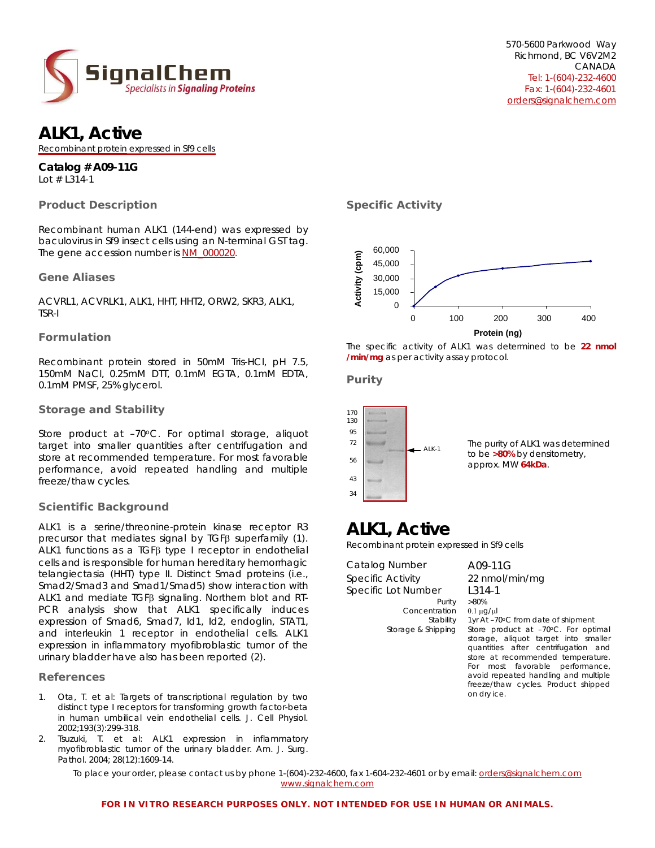

## **ALK1, Active**

Recombinant protein expressed in Sf9 cells

#### **Catalog # A09-11G**  *Lot # L314-1*

# **Product Description**

Recombinant human ALK1 (144-end) was expressed by baculovirus in Sf9 insect cells using an N-terminal GST tag. The gene accession number is [NM\\_000020](http://www.ncbi.nlm.nih.gov/sites/entrez?Db=gene&Cmd=ShowDetailView&TermToSearch=94&ordinalpos=1&itool=EntrezSystem2.PEntrez.Gene.Gene_ResultsPanel.Gene_RVDocSum).

## **Gene Aliases**

ACVRL1, ACVRLK1, ALK1, HHT, HHT2, ORW2, SKR3, ALK1, TSR-I

## **Formulation**

Recombinant protein stored in 50mM Tris-HCl, pH 7.5, 150mM NaCl, 0.25mM DTT, 0.1mM EGTA, 0.1mM EDTA, 0.1mM PMSF, 25% glycerol.

## **Storage and Stability**

Store product at -70°C. For optimal storage, aliquot target into smaller quantities after centrifugation and store at recommended temperature. For most favorable performance, avoid repeated handling and multiple freeze/thaw cycles.

## **Scientific Background**

ALK1 is a serine/threonine-protein kinase receptor R3 precursor that mediates signal by TGFβ superfamily (1). ALK1 functions as a TGFβ type I receptor in endothelial cells and is responsible for human hereditary hemorrhagic telangiectasia (HHT) type II. Distinct Smad proteins (i.e., Smad2/Smad3 and Smad1/Smad5) show interaction with ALK1 and mediate TGFβ signaling. Northern blot and RT-PCR analysis show that ALK1 specifically induces expression of Smad6, Smad7, Id1, Id2, endoglin, STAT1, and interleukin 1 receptor in endothelial cells. ALK1 expression in inflammatory myofibroblastic tumor of the urinary bladder have also has been reported (2).

## **References**

- 1. [Ota, T](http://www.ncbi.nlm.nih.gov/sites/entrez?Db=pubmed&Cmd=Search&Term=%22Ota%20T%22%5BAuthor%5D&itool=EntrezSystem2.PEntrez.Pubmed.Pubmed_ResultsPanel.Pubmed_DiscoveryPanel.Pubmed_RVAbstractPlus). et al: Targets of transcriptional regulation by two distinct type I receptors for transforming growth factor-beta in human umbilical vein endothelial cells. J. Cell Physiol. 2002;193(3):299-318.
- 2. [Tsuzuki, T](http://www.ncbi.nlm.nih.gov/sites/entrez?Db=pubmed&Cmd=Search&Term=%22Tsuzuki%20T%22%5BAuthor%5D&itool=EntrezSystem2.PEntrez.Pubmed.Pubmed_ResultsPanel.Pubmed_DiscoveryPanel.Pubmed_RVAbstractPlus). et al: ALK1 expression in inflammatory myofibroblastic tumor of the urinary bladder. Am. J. Surg. Pathol. 2004; 28(12):1609-14.

#### To place your order, please contact us by phone 1-(604)-232-4600, fax 1-604-232-4601 or by email: orders@signalchem.com www.signalchem.com

**Specific Activity** 



The specific activity of ALK1 was determined to be **22 nmol /min/mg** as per activity assay protocol.

## **Purity**



## **ALK1, Active**

Recombinant protein expressed in Sf9 cells

Catalog Number A09-11G Specific Activity 22 nmol/min/mg Specific Lot Number L314-1

Concentration 0.1 μg/μl

Purity >80% Stability 1yr At -70°C from date of shipment Storage & Shipping Store product at -70°C. For optimal storage, aliquot target into smaller quantities after centrifugation and store at recommended temperature. For most favorable performance, avoid repeated handling and multiple freeze/thaw cycles. Product shipped on dry ice.